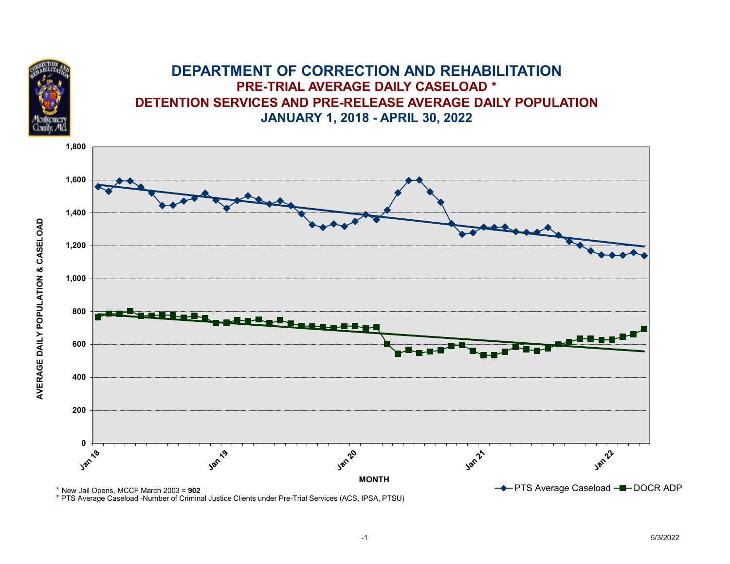